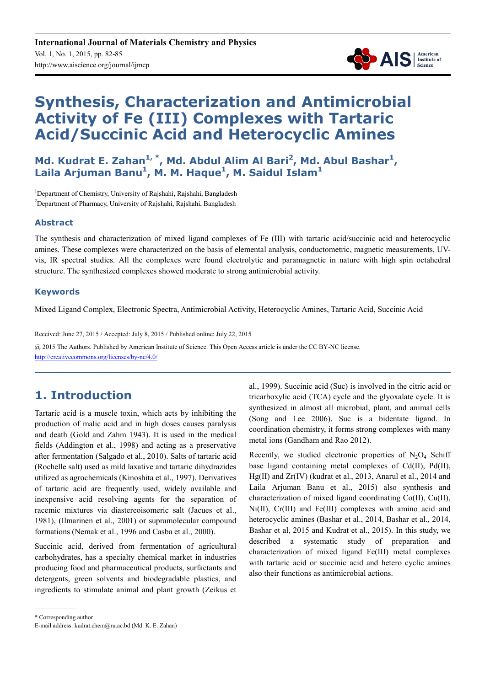

# **Synthesis, Characterization and Antimicrobial Activity of Fe (III) Complexes with Tartaric Acid/Succinic Acid and Heterocyclic Amines**

Md. Kudrat E. Zahan<sup>1,\*</sup>, Md. Abdul Alim Al Bari<sup>2</sup>, Md. Abul Bashar<sup>1</sup>, **Laila Arjuman Banu<sup>1</sup> , M. M. Haque<sup>1</sup> , M. Saidul Islam<sup>1</sup>**

<sup>1</sup>Department of Chemistry, University of Rajshahi, Rajshahi, Bangladesh <sup>2</sup>Department of Pharmacy, University of Rajshahi, Rajshahi, Bangladesh

### **Abstract**

The synthesis and characterization of mixed ligand complexes of Fe (III) with tartaric acid/succinic acid and heterocyclic amines. These complexes were characterized on the basis of elemental analysis, conductometric, magnetic measurements, UVvis, IR spectral studies. All the complexes were found electrolytic and paramagnetic in nature with high spin octahedral structure. The synthesized complexes showed moderate to strong antimicrobial activity.

### **Keywords**

Mixed Ligand Complex, Electronic Spectra, Antimicrobial Activity, Heterocyclic Amines, Tartaric Acid, Succinic Acid

Received: June 27, 2015 / Accepted: July 8, 2015 / Published online: July 22, 2015

@ 2015 The Authors. Published by American Institute of Science. This Open Access article is under the CC BY-NC license. http://creativecommons.org/licenses/by-nc/4.0/

## **1. Introduction**

Tartaric acid is a muscle toxin, which acts by inhibiting the production of malic acid and in high doses causes paralysis and death (Gold and Zahm 1943). It is used in the medical fields (Addington et al., 1998) and acting as a preservative after fermentation (Salgado et al., 2010). Salts of tartaric acid (Rochelle salt) used as mild laxative and tartaric dihydrazides utilized as agrochemicals (Kinoshita et al., 1997). Derivatives of tartaric acid are frequently used, widely available and inexpensive acid resolving agents for the separation of racemic mixtures via diastereoisomeric salt (Jacues et al., 1981), (Ilmarinen et al., 2001) or supramolecular compound formations (Nemak et al., 1996 and Casba et al., 2000).

Succinic acid, derived from fermentation of agricultural carbohydrates, has a specialty chemical market in industries producing food and pharmaceutical products, surfactants and detergents, green solvents and biodegradable plastics, and ingredients to stimulate animal and plant growth (Zeikus et al., 1999). Succinic acid (Suc) is involved in the citric acid or tricarboxylic acid (TCA) cycle and the glyoxalate cycle. It is synthesized in almost all microbial, plant, and animal cells (Song and Lee 2006). Suc is a bidentate ligand. In coordination chemistry, it forms strong complexes with many metal ions (Gandham and Rao 2012).

Recently, we studied electronic properties of  $N_2O_4$  Schiff base ligand containing metal complexes of Cd(II), Pd(II), Hg(II) and Zr(IV) (kudrat et al., 2013, Anarul et al., 2014 and Laila Arjuman Banu et al., 2015) also synthesis and characterization of mixed ligand coordinating Co(II), Cu(II), Ni(II), Cr(III) and Fe(III) complexes with amino acid and heterocyclic amines (Bashar et al., 2014, Bashar et al., 2014, Bashar et al, 2015 and Kudrat et al., 2015). In this study, we described a systematic study of preparation and characterization of mixed ligand Fe(III) metal complexes with tartaric acid or succinic acid and hetero cyclic amines also their functions as antimicrobial actions.

\* Corresponding author

E-mail address: kudrat.chem@ru.ac.bd (Md. K. E. Zahan)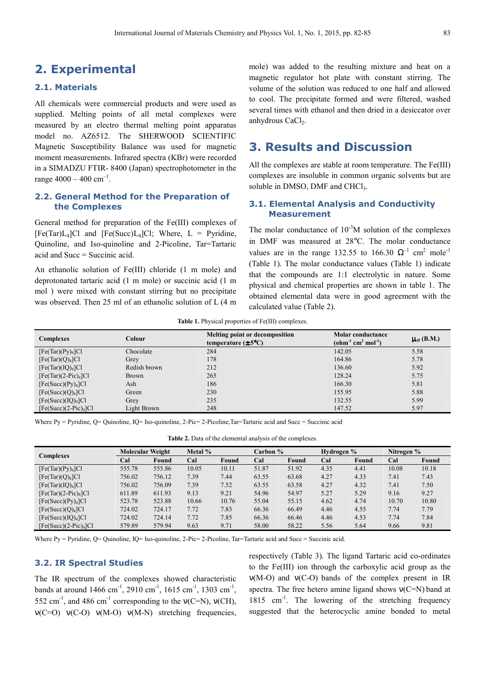### **2. Experimental**

### **2.1. Materials**

All chemicals were commercial products and were used as supplied. Melting points of all metal complexes were measured by an electro thermal melting point apparatus model no. AZ6512. The SHERWOOD SCIENTIFIC Magnetic Susceptibility Balance was used for magnetic moment measurements. Infrared spectra (KBr) were recorded in a SIMADZU FTIR- 8400 (Japan) spectrophotometer in the range  $4000 - 400$  cm<sup>-1</sup>.

#### **2.2. General Method for the Preparation of the Complexes**

General method for preparation of the Fe(III) complexes of  $[Fe(Tar)L<sub>4</sub>]Cl$  and  $[Fe(Succ)L<sub>4</sub>]Cl$ ; Where,  $L = Pyridine$ , Quinoline, and Iso-quinoline and 2-Picoline, Tar=Tartaric acid and Succ = Succinic acid.

An ethanolic solution of Fe(III) chloride (1 m mole) and deprotonated tartaric acid (1 m mole) or succinic acid (1 m mol ) were mixed with constant stirring but no precipitate was observed. Then 25 ml of an ethanolic solution of L (4 m mole) was added to the resulting mixture and heat on a magnetic regulator hot plate with constant stirring. The volume of the solution was reduced to one half and allowed to cool. The precipitate formed and were filtered, washed several times with ethanol and then dried in a desiccator over anhydrous CaCl<sub>2</sub>.

### **3. Results and Discussion**

All the complexes are stable at room temperature. The Fe(III) complexes are insoluble in common organic solvents but are soluble in DMSO, DMF and CHCl<sub>3</sub>.

#### **3.1. Elemental Analysis and Conductivity Measurement**

The molar conductance of  $10^{-3}M$  solution of the complexes in DMF was measured at 28°C. The molar conductance values are in the range 132.55 to 166.30  $\Omega^{-1}$  cm<sup>2</sup> mole<sup>-1</sup> (Table 1). The molar conductance values (Table 1) indicate that the compounds are 1:1 electrolytic in nature. Some physical and chemical properties are shown in table 1. The obtained elemental data were in good agreement with the calculated value (Table 2).

**Table 1.** Physical properties of Fe(III) complexes.

| <b>Complexes</b>               | Colour       | Melting point or decomposition<br>temperature $(\pm 5^{\circ}C)$ | <b>Molar conductance</b><br>$(ohm-1 cm2 mol-1)$ | $\mu_{\rm eff}$ (B.M.) |
|--------------------------------|--------------|------------------------------------------------------------------|-------------------------------------------------|------------------------|
| [Fe(Tar)(Py) <sub>4</sub> ]Cl  | Chocolate    | 284                                                              | 142.05                                          | 5.58                   |
| [Fe(Tar)(Q) <sub>4</sub> ]Cl   | Grey         | 178                                                              | 164.86                                          | 5.78                   |
| [Fe(Tar)(IQ) <sub>4</sub> ]Cl  | Redish brown | 212                                                              | 136.60                                          | 5.92                   |
| $[Fe(Tar)(2-Pic)4]Cl$          | Brown        | 265                                                              | 128.24                                          | 5.75                   |
| [Fe(Succ)(Py) <sub>4</sub> ]Cl | Ash          | 186                                                              | 166.30                                          | 5.81                   |
| [Fe(Succ)(Q) <sub>4</sub> ]Cl  | Green        | 230                                                              | 155.95                                          | 5.88                   |
| [Fe(Succ)(IQ) <sub>4</sub> ]Cl | Grey         | 235                                                              | 132.55                                          | 5.99                   |
| $[Fe(Succ)(2-Pic)4]Cl$         | Light Brown  | 248                                                              | 147.52                                          | 5.97                   |

Where Py = Pyridine, Q= Quinoline, IQ= Iso-quinoline, 2-Pic= 2-Picoline, Tar=Tartaric acid and Succ = Succinic acid

| <b>Complexes</b>               | <b>Molecular Weight</b> |        | Metal % | Carbon % |       | Hydrogen % |      | Nitrogen % |       |       |
|--------------------------------|-------------------------|--------|---------|----------|-------|------------|------|------------|-------|-------|
|                                | Cal                     | Found  | Cal     | Found    | Cal   | Found      | Cal  | Found      | Cal   | Found |
| [Fe(Tar)(Py) <sub>4</sub> ]Cl  | 555.78                  | 555.86 | 10.05   | 10.11    | 51.87 | 51.92      | 4.35 | 4.41       | 10.08 | 10.18 |
| [Fe(Tar)(Q) <sub>4</sub> ]Cl   | 756.02                  | 756.12 | 7.39    | 7.44     | 63.55 | 63.68      | 4.27 | 4.33       | 7.41  | 7.43  |
| [Fe(Tar)(IQ) <sub>4</sub> ]Cl  | 756.02                  | 756.09 | 7.39    | 7.52     | 63.55 | 63.58      | 4.27 | 4.32       | 7.41  | 7.50  |
| $[Fe(Tar)(2-Pic)4]Cl$          | 611.89                  | 611.93 | 9.13    | 9.21     | 54.96 | 54.97      | 5.27 | 5.29       | 9.16  | 9.27  |
| [Fe(Succ)(Py) <sub>4</sub> ]Cl | 523.78                  | 523.88 | 10.66   | 10.76    | 55.04 | 55.15      | 4.62 | 4.74       | 10.70 | 10.80 |
| [Fe(Succ)(Q) <sub>4</sub> ]Cl  | 724.02                  | 724.17 | 7.72    | 7.83     | 66.36 | 66.49      | 4.46 | 4.55       | 7.74  | 7.79  |
| [Fe(Succ)(IQ) <sub>4</sub> ]Cl | 724.02                  | 724.14 | 7.72    | 7.85     | 66.36 | 66.46      | 4.46 | 4.53       | 7.74  | 7.84  |
| $[Fe(Succ)(2-Pic)4]Cl$         | 579.89                  | 579.94 | 9.63    | 9.71     | 58.00 | 58.22      | 5.56 | 5.64       | 9.66  | 9.81  |

Where Py = Pyridine, Q = Quinoline, IQ = Iso-quinoline, 2-Pic = 2-Picoline, Tar=Tartaric acid and Succ = Succinic acid.

#### **3.2. IR Spectral Studies**

The IR spectrum of the complexes showed characteristic bands at around  $1466 \text{ cm}^{-1}$ ,  $2910 \text{ cm}^{-1}$ ,  $1615 \text{ cm}^{-1}$ ,  $1303 \text{ cm}^{-1}$ , 552 cm<sup>-1</sup>, and 486 cm<sup>-1</sup> corresponding to the  $v(C=N)$ ,  $v(CH)$ , ν(C=O) ν(C-O) ν(M-O) ν(M-N) stretching frequencies,

respectively (Table 3). The ligand Tartaric acid co-ordinates to the Fe(III) ion through the carboxylic acid group as the ν(M-O) and ν(C-O) bands of the complex present in IR spectra. The free hetero amine ligand shows  $v(C=N)$  band at 1815 cm<sup>-1</sup>. The lowering of the stretching frequency suggested that the heterocyclic amine bonded to metal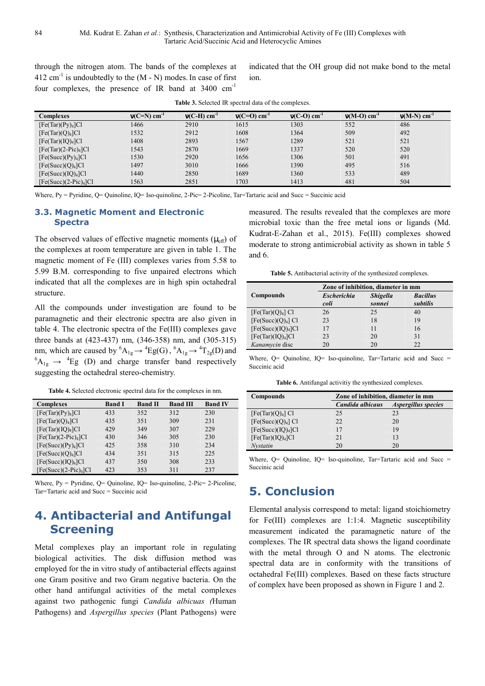through the nitrogen atom. The bands of the complexes at 412 cm<sup>-1</sup> is undoubtedly to the  $(M - N)$  modes. In case of first four complexes, the presence of IR band at 3400 cm-1

indicated that the OH group did not make bond to the metal ion.

| Complexes                      | $v(C=N)$ cm <sup>-1</sup> | $v(C-H)$ cm <sup>-1</sup> | $v(C=O)$ cm <sup>-1</sup> | $v(C-O)$ cm <sup>-1</sup> | $v(M-O)$ cm <sup>-1</sup> | $v(M-N)$ cm <sup>-1</sup> |
|--------------------------------|---------------------------|---------------------------|---------------------------|---------------------------|---------------------------|---------------------------|
| [Fe(Tar)(Py) <sub>4</sub> ]Cl  | 1466                      | 2910                      | 1615                      | 1303                      | 552                       | 486                       |
| [Fe(Tar)(Q) <sub>4</sub> ]Cl   | 1532                      | 2912                      | 1608                      | 1364                      | 509                       | 492                       |
| [Fe(Tar)(IQ) <sub>4</sub> ]Cl  | 1408                      | 2893                      | 1567                      | 1289                      | 521                       | 521                       |
| $[Fe(Tar)(2-Pic)4]Cl$          | 1543                      | 2870                      | 1669                      | 1337                      | 520                       | 520                       |
| [Fe(Succ)(Py) <sub>4</sub> ]Cl | 1530                      | 2920                      | 1656                      | 1306                      | 501                       | 491                       |
| [Fe(Succ)(Q) <sub>4</sub> ]Cl  | 1497                      | 3010                      | 1666                      | 1390                      | 495                       | 516                       |
| [Fe(Succ)(IQ) <sub>4</sub> ]Cl | 1440                      | 2850                      | 1689                      | 1360                      | 533                       | 489                       |
| $[Fe(Succ)(2-Pic)4]Cl$         | 1563                      | 2851                      | 1703                      | 1413                      | 481                       | 504                       |

**Table 3.** Selected IR spectral data of the complexes.

Where, Py = Pyridine, Q= Quinoline, IQ= Iso-quinoline, 2-Pic= 2-Picoline, Tar=Tartaric acid and Succ = Succinic acid

#### **3.3. Magnetic Moment and Electronic Spectra**

The observed values of effective magnetic moments  $(\mu_{eff})$  of the complexes at room temperature are given in table 1. The magnetic moment of Fe (III) complexes varies from 5.58 to 5.99 B.M. corresponding to five unpaired electrons which indicated that all the complexes are in high spin octahedral structure.

All the compounds under investigation are found to be paramagnetic and their electronic spectra are also given in table 4. The electronic spectra of the Fe(III) complexes gave three bands at (423-437) nm, (346-358) nm, and (305-315) nm, which are caused by  ${}^{6}A_{1g} \rightarrow {}^{4}Eg(G)$ ,  ${}^{6}A_{1g} \rightarrow {}^{4}T_{2g}(D)$  and  ${}^{6}A_{1g} \rightarrow {}^{4}Eg$  (D) and charge transfer band respectively suggesting the octahedral stereo-chemistry.

**Table 4.** Selected electronic spectral data for the complexes in nm.

| <b>Complexes</b>               | <b>Band I</b> | <b>Band II</b> | <b>Band III</b> | <b>Band IV</b> |
|--------------------------------|---------------|----------------|-----------------|----------------|
| [Fe(Tar)(Py) <sub>4</sub> ]Cl  | 433           | 352            | 312             | 230            |
| [Fe(Tar)(Q) <sub>4</sub> ]Cl   | 435           | 351            | 309             | 231            |
| [Fe(Tar)(IQ) <sub>4</sub> ]Cl  | 429           | 349            | 307             | 229            |
| $[Fe(Tar)(2-Pic)4]Cl$          | 430           | 346            | 305             | 230            |
| [Fe(Succ)(Py) <sub>4</sub> ]Cl | 425           | 358            | 310             | 234            |
| [Fe(Succ)(Q) <sub>4</sub> ]Cl  | 434           | 351            | 315             | 225            |
| [Fe(Succ)(IQ) <sub>4</sub> ]Cl | 437           | 350            | 308             | 233            |
| $[Fe(Succ)(2-Pic)4]Cl$         | 423           | 353            | 311             | 237            |

Where,  $Py = Pyridine$ ,  $Q = Quinoline$ ,  $IQ = Iso-quinoline$ ,  $2-Pic= 2-Picoline$ , Tar=Tartaric acid and Succ = Succinic acid

# **4. Antibacterial and Antifungal Screening**

Metal complexes play an important role in regulating biological activities. The disk diffusion method was employed for the in vitro study of antibacterial effects against one Gram positive and two Gram negative bacteria. On the other hand antifungal activities of the metal complexes against two pathogenic fungi *Candida albicuas (*Human Pathogens) and *Aspergillus species* (Plant Pathogens) were

measured. The results revealed that the complexes are more microbial toxic than the free metal ions or ligands (Md. Kudrat-E-Zahan et al., 2015). Fe(III) complexes showed moderate to strong antimicrobial activity as shown in table 5 and 6.

**Table 5.** Antibacterial activity of the synthesized complexes.

|                                |                    | Zone of inhibition, diameter in mm |                 |  |  |  |
|--------------------------------|--------------------|------------------------------------|-----------------|--|--|--|
| Compounds                      | <b>Escherichia</b> | <b>Shigella</b>                    | <b>Bacillus</b> |  |  |  |
|                                | coli               | sonnei                             | subtilis        |  |  |  |
| $[Fe(Tar)(Q)4]$ Cl             | 26                 | 25                                 | 40              |  |  |  |
| $[Fe(Succ)(Q)4]$ Cl            | 23                 | 18                                 | 19              |  |  |  |
| [Fe(Succ)(IQ) <sub>4</sub> ]Cl | 17                 | 11                                 | 16              |  |  |  |
| [Fe(Tar)(IQ) <sub>4</sub> ]Cl  | 23                 | 20                                 | 31              |  |  |  |
| Kanamycin disc                 | 20                 | 20                                 | 22              |  |  |  |

Where, Q= Quinoline, IQ= Iso-quinoline, Tar=Tartaric acid and Succ = Succinic acid

**Table 6.** Antifungal activitiy the synthesized complexes.

| Compounds                      | Zone of inhibition, diameter in mm |                     |  |
|--------------------------------|------------------------------------|---------------------|--|
|                                | Candida albicaus                   | Aspergillus species |  |
| $[Fe(Tar)(Q)4]$ Cl             | 25                                 | 23                  |  |
| $[Fe(Succ)(Q)4]$ Cl            | 22                                 | 20                  |  |
| [Fe(Succ)(IQ) <sub>4</sub> ]Cl |                                    | 19                  |  |
| [Fe(Tar)(IQ) <sub>4</sub> ]Cl  | 21                                 | 13                  |  |
| Nvstatin                       | 20                                 | 20                  |  |

Where, Q= Quinoline, IQ= Iso-quinoline, Tar=Tartaric acid and Succ = Succinic acid

### **5. Conclusion**

Elemental analysis correspond to metal: ligand stoichiometry for Fe(III) complexes are 1:1:4. Magnetic susceptibility measurement indicated the paramagnetic nature of the complexes. The IR spectral data shows the ligand coordinate with the metal through O and N atoms. The electronic spectral data are in conformity with the transitions of octahedral Fe(III) complexes. Based on these facts structure of complex have been proposed as shown in Figure 1 and 2.